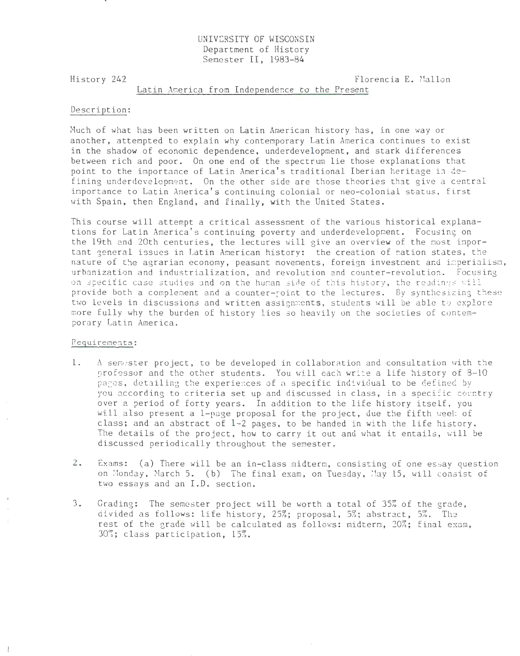# UNIVERSITY OF WISCONSIN Department of History Semester II, 1983-84

History 242

Florencia E. Mallon

### Latin America from Independence to the Present

## Description:

Much of what has been written on Latin American history has, in one way or another, attempted to explain why contemporary Latin America continues to exist in the shadow of economic dependence, underdevelopment, and stark differences between rich and poor. On one end of the spectrum lie those explanations that point to the importance of Latin America's traditional Iberian heritage in defining underdevelopment. On the other side are those theories that give a central importance to Latin America's continuing colonial or neo-colonial status, first with Spain, then England, and finally, with the United States.

This course will attempt a critical assessment of the various historical explanations for Latin America's continuing poverty and underdevelopment. Focusing on the 19th and 20th centuries, the lectures will give an overview of the most important general issues in Latin American history: the creation of nation states, the nature of the agrarian economy, peasant movements, foreign investment and imperialism, urbanization and industrialization, and revolution and counter-revolution. Focusing on specific case studies and on the human side of this history, the readings will provide both a complement and a counter-roint to the lectures. By synthesizing these two levels in discussions and written assignments, students will be able to explore more fully why the burden of history lies so heavily on the societies of contemporary Latin America.

### Requirements:

 $\frac{1}{2}$ 

- $1.$ A sempster project, to be developed in collaboration and consultation with the professor and the other students. You will each write a life history of 8-10 pages, detailing the experiences of a specific individual to be defined by you according to criteria set up and discussed in class, in a specific country over a period of forty years. In addition to the life history itself, you will also present a 1-page proposal for the project, due the fifth week of class; and an abstract of 1-2 pages, to be handed in with the life history. The details of the project, how to carry it out and what it entails, will be discussed periodically throughout the semester.
- $2.$ Exams: (a) There will be an in-class midterm, consisting of one essay question on Monday, March 5. (b) The final exam, on Tuesday, May 15, will consist of two essays and an I.D. section.
- $3.$ Grading: The semester project will be worth a total of 35% of the grade, divided as follows: life history, 25%; proposal, 5%; abstract, 5%. The rest of the grade will be calculated as follows: midterm, 20%; final exam, 30%; class participation, 15%.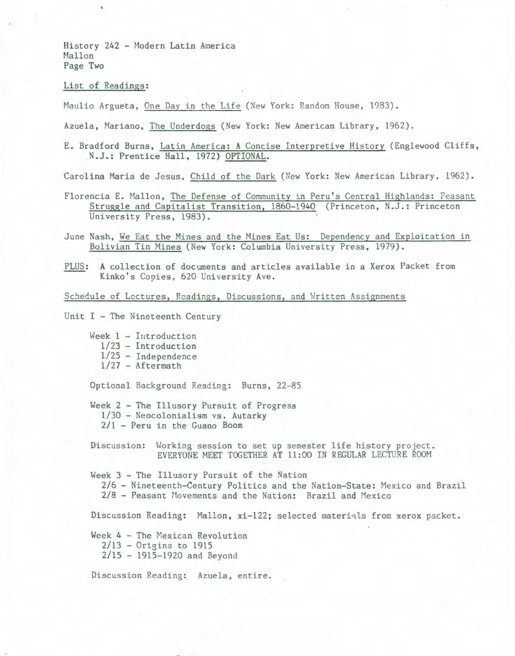History 242 - Modern Latin America Mallon Page Two

## List of Readings:

Maulio Argueta, One Day in the Life (New York: Random House, 1983).

Azuela, Mariano, The Underdogs (New York: New American Library, 1962).

E. Bradford Burns, Latin America: A Concise Interpretive History (Englewood Cliffs, .N.J.: Prentice Hall, 1972) OPTIONAL.

Carolina Maria de Jesus, Child of the Dark (New York: New American Library, 1962).

- Florencia E. Mallon, The Defense of Community in Peru's Central Highlands: Peasant Struggle and Capitalist Transition, 1860-1940 (Princeton, N.J.: Princeton University Press, 1983).
- June Nash, We Eat the Mines and the Mines Eat Us: Dependency and Exploitation in Bolivian Tin Nines (New York: Columbia University Press, 1979).
- PLUS: A collection of documents and articles available in a Xerox Packet from Kinko's Copies, 620 University Ave.

Schedule of Lectures, Readings, Discussions, and Written Assignments

Unit  $I$  - The Nineteenth Century

Week 1 - Introduction 1/23 - Introduction 1/25 - Independence  $1/27$  - Aftermath

Optional Background Reading: Burns, 22-85

Week 2 - The Illusory Pursuit of Progress 1/30 - Neocolonialism vs. Autarky 2/1 - Peru in the Guano Boom

Discussion: Working session to set up semester life history project. EVERYONE MEET TOGETHER AT ll :00 IN REGULAR LECTURE ROOH

Week  $3$  - The Illusory Pursuit of the Nation 2/6 - Nineteenth-Century Politics and the Nation-State: Mexico and Brazil  $2/8$  - Peasant Movements and the Nation: Brazil and Mexico

Discussion Reading: Mallon, xi-122; selected materiqls from xerox packet.

Week  $4$  - The Mexican Revolution 2/13 - Origins to 1915 2/15 - 1915-1920 and Beyond

Discussion Reading: Azuela, entire.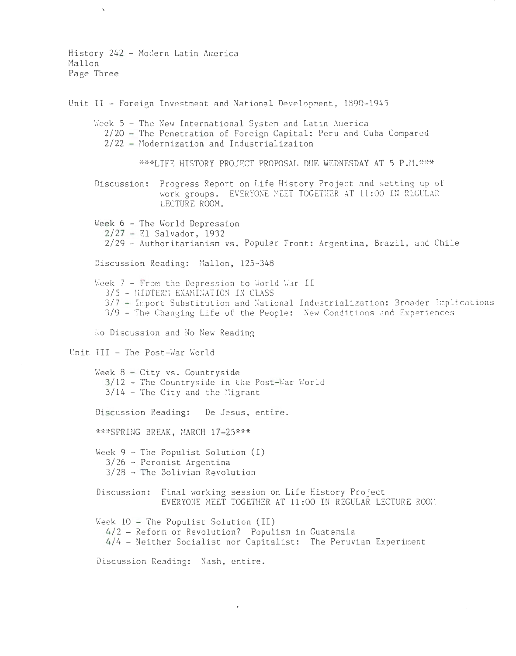History 242 - Modern Latin America Mallon Page Three Unit II - Foreign Investment and National Development, 1890-1945 Week 5 - The New International System and Latin America 2/20 - The Penetration of Foreign Capital: Peru and Cuba Compared 2/22 - Modernization and Industrializaiton \*\*\*LIFE HISTORY PROJECT PROPOSAL DUE WEDNESDAY AT 5 P.M.\*\*\* Discussion: Progress Report on Life History Project and setting up of work groups. EVERYONE MEET TOGETHER AT 11:00 IN REGULAR LECTURE ROOM. Week 6 - The World Depression  $2/27$  - El Salvador, 1932 2/29 - Authoritarianism vs. Popular Front: Argentina, Brazil, and Chile Discussion Reading: Mallon, 125-348 Week 7 - From the Depression to World War II 3/5 - MIDTERM EXAMINATION IN CLASS 3/7 - Import Substitution and National Industrialization: Broader Implications 3/9 - The Changing Life of the People: New Conditions and Experiences No Discussion and No New Reading Unit III - The Post-War World Week  $8 - City vs. Countryside$ 3/12 - The Countryside in the Post-War World  $3/14$  - The City and the Migrant Discussion Reading: De Jesus, entire. \*\*\*SPRING BREAK, MARCH 17-25\*\*\* Week  $9$  - The Populist Solution (I)  $3/26$  - Peronist Argentina  $3/28$  - The Bolivian Revolution Discussion: Final working session on Life History Project EVERYONE MEET TOGETHER AT 11:00 IN REGULAR LECTURE ROOM Week  $10$  - The Populist Solution (II) 4/2 - Reform or Revolution? Populism in Guatemala 4/4 - Neither Socialist nor Capitalist: The Peruvian Experiment

Discussion Reading: Nash, entire.

 $\epsilon$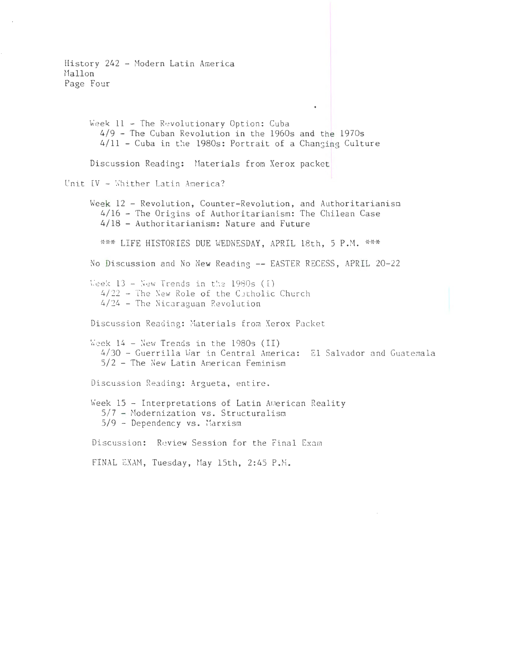History 242 - Modern Latin America Mallon Page Four Week 11 - The Revolutionary Option: Cuba 4/9 - The Cuban Revolution in the 1960s and the 1970s 4/11 - Cuba in the 1980s: Portrait of a Changing Culture Discussion Reading: Materials from Xerox packet Unit IV - Whither Latin America? Week 12 - Revolution, Counter-Revolution, and Authoritarianism 4/16 - The Origins of Authoritarianism: The Chilean Case 4/18 - Authoritarianism: Nature and Future \*\*\* LIFE HISTORIES DUE WEDNESDAY, APRIL 18th, 5 P.M. \*\*\* No Discussion and No New Reading -- EASTER RECESS, APRIL 20-22 Week  $13 -$  New Trends in the 1980s (1) 4/22 - The New Role of the Catholic Church 4/24 - The Nicaraguan Revolution Discussion Reading: Materials from Xerox Packet Week  $14$  - New Trends in the 1980s (II) 4/30 - Guerrilla War in Central America: El Salvador and Guatemala  $5/2$  - The New Latin American Feminism Discussion Reading: Argueta, entire. Week 15 - Interpretations of Latin American Reality  $5/7$  - Modernization vs. Structuralism 5/9 - Dependency vs. Marxism Discussion: Review Session for the Final Exam FINAL EXAM, Tuesday, May 15th, 2:45 P.M.